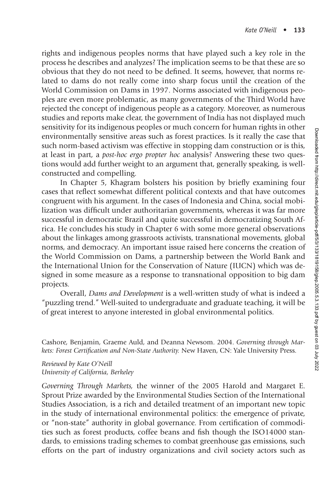rights and indigenous peoples norms that have played such a key role in the process he describes and analyzes? The implication seems to be that these are so obvious that they do not need to be defined. It seems, however, that norms related to dams do not really come into sharp focus until the creation of the World Commission on Dams in 1997. Norms associated with indigenous peoples are even more problematic, as many governments of the Third World have rejected the concept of indigenous people as a category. Moreover, as numerous studies and reports make clear, the government of India has not displayed much sensitivity for its indigenous peoples or much concern for human rights in other environmentally sensitive areas such as forest practices. Is it really the case that such norm-based activism was effective in stopping dam construction or is this, at least in part, a *post-hoc ergo propter hoc* analysis? Answering these two questions would add further weight to an argument that, generally speaking, is wellconstructed and compelling.

In Chapter 5, Khagram bolsters his position by briefly examining four cases that reflect somewhat different political contexts and that have outcomes congruent with his argument. In the cases of Indonesia and China, social mobilization was difficult under authoritarian governments, whereas it was far more successful in democratic Brazil and quite successful in democratizing South Africa. He concludes his study in Chapter 6 with some more general observations about the linkages among grassroots activists, transnational movements, global norms, and democracy. An important issue raised here concerns the creation of the World Commission on Dams, a partnership between the World Bank and the International Union for the Conservation of Nature (IUCN) which was designed in some measure as a response to transnational opposition to big dam projects.

Overall, *Dams and Development* is a well-written study of what is indeed a "puzzling trend." Well-suited to undergraduate and graduate teaching, it will be of great interest to anyone interested in global environmental politics.

Cashore, Benjamin, Graeme Auld, and Deanna Newsom. 2004. *Governing through Markets: Forest Certification and Non-State Authority. New Haven, CN: Yale University Press.* 

*Reviewed by Kate O'Neill University of California, Berkeley*

*Governing Through Markets,* the winner of the 2005 Harold and Margaret E. Sprout Prize awarded by the Environmental Studies Section of the International Studies Association, is a rich and detailed treatment of an important new topic in the study of international environmental politics: the emergence of private, or "non-state" authority in global governance. From certification of commodities such as forest products, coffee beans and fish though the ISO14000 standards, to emissions trading schemes to combat greenhouse gas emissions, such efforts on the part of industry organizations and civil society actors such as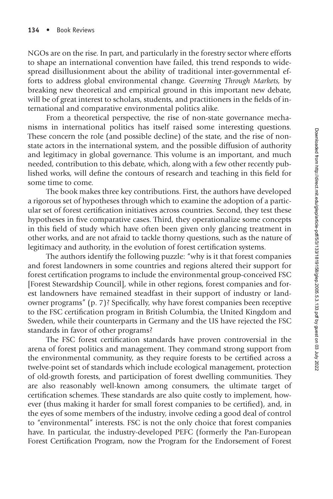NGOs are on the rise. In part, and particularly in the forestry sector where efforts to shape an international convention have failed, this trend responds to widespread disillusionment about the ability of traditional inter-governmental efforts to address global environmental change. *Governing Through Markets,* by breaking new theoretical and empirical ground in this important new debate, will be of great interest to scholars, students, and practitioners in the fields of international and comparative environmental politics alike.

From a theoretical perspective, the rise of non-state governance mechanisms in international politics has itself raised some interesting questions. These concern the role (and possible decline) of the state, and the rise of nonstate actors in the international system, and the possible diffusion of authority and legitimacy in global governance. This volume is an important, and much needed, contribution to this debate, which, along with a few other recently published works, will define the contours of research and teaching in this field for some time to come.

The book makes three key contributions. First, the authors have developed a rigorous set of hypotheses through which to examine the adoption of a particular set of forest certification initiatives across countries. Second, they test these hypotheses in five comparative cases. Third, they operationalize some concepts in this field of study which have often been given only glancing treatment in other works, and are not afraid to tackle thorny questions, such as the nature of legitimacy and authority, in the evolution of forest certification systems.

The authors identify the following puzzle: "why is it that forest companies and forest landowners in some countries and regions altered their support for forest certification programs to include the environmental group-conceived FSC [Forest Stewardship Council], while in other regions, forest companies and forest landowners have remained steadfast in their support of industry or landowner programs" (p. 7)? Specifically, why have forest companies been receptive to the FSC certification program in British Columbia, the United Kingdom and Sweden, while their counterparts in Germany and the US have rejected the FSC standards in favor of other programs?

The FSC forest certification standards have proven controversial in the arena of forest politics and management. They command strong support from the environmental community, as they require forests to be certified across a twelve-point set of standards which include ecological management, protection of old-growth forests, and participation of forest dwelling communities. They are also reasonably well-known among consumers, the ultimate target of certification schemes. These standards are also quite costly to implement, however (thus making it harder for small forest companies to be certified), and, in the eyes of some members of the industry, involve ceding a good deal of control to "environmental" interests. FSC is not the only choice that forest companies have. In particular, the industry-developed PEFC (formerly the Pan-European Forest Certification Program, now the Program for the Endorsement of Forest